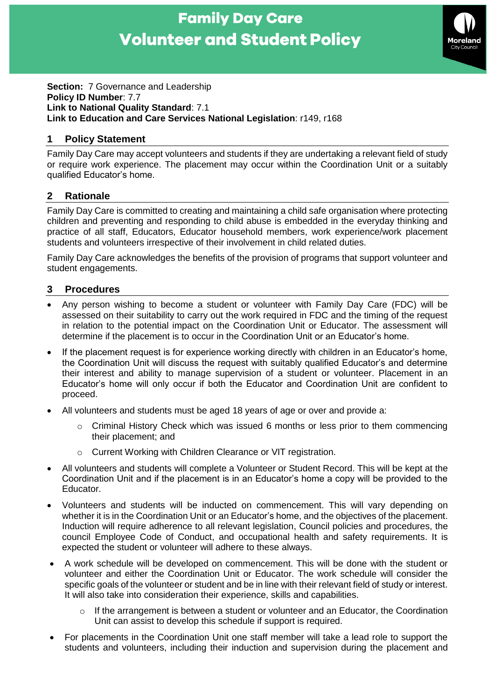# **Family Day Care Volunteer and Student Policy**



**Section:** 7 Governance and Leadership **Policy ID Number**: 7.7 **Link to National Quality Standard**: 7.1 **Link to Education and Care Services National Legislation**: r149, r168

# **1 Policy Statement**

Family Day Care may accept volunteers and students if they are undertaking a relevant field of study or require work experience. The placement may occur within the Coordination Unit or a suitably qualified Educator's home.

## **2 Rationale**

Family Day Care is committed to creating and maintaining a child safe organisation where protecting children and preventing and responding to child abuse is embedded in the everyday thinking and practice of all staff, Educators, Educator household members, work experience/work placement students and volunteers irrespective of their involvement in child related duties.

Family Day Care acknowledges the benefits of the provision of programs that support volunteer and student engagements.

#### **3 Procedures**

- Any person wishing to become a student or volunteer with Family Day Care (FDC) will be assessed on their suitability to carry out the work required in FDC and the timing of the request in relation to the potential impact on the Coordination Unit or Educator. The assessment will determine if the placement is to occur in the Coordination Unit or an Educator's home.
- If the placement request is for experience working directly with children in an Educator's home, the Coordination Unit will discuss the request with suitably qualified Educator's and determine their interest and ability to manage supervision of a student or volunteer. Placement in an Educator's home will only occur if both the Educator and Coordination Unit are confident to proceed.
- All volunteers and students must be aged 18 years of age or over and provide a:
	- Criminal History Check which was issued 6 months or less prior to them commencing their placement; and
	- o Current Working with Children Clearance or VIT registration.
- All volunteers and students will complete a Volunteer or Student Record. This will be kept at the Coordination Unit and if the placement is in an Educator's home a copy will be provided to the Educator.
- Volunteers and students will be inducted on commencement. This will vary depending on whether it is in the Coordination Unit or an Educator's home, and the objectives of the placement. Induction will require adherence to all relevant legislation, Council policies and procedures, the council Employee Code of Conduct, and occupational health and safety requirements. It is expected the student or volunteer will adhere to these always.
- A work schedule will be developed on commencement. This will be done with the student or volunteer and either the Coordination Unit or Educator. The work schedule will consider the specific goals of the volunteer or student and be in line with their relevant field of study or interest. It will also take into consideration their experience, skills and capabilities.
	- If the arrangement is between a student or volunteer and an Educator, the Coordination Unit can assist to develop this schedule if support is required.
- For placements in the Coordination Unit one staff member will take a lead role to support the students and volunteers, including their induction and supervision during the placement and